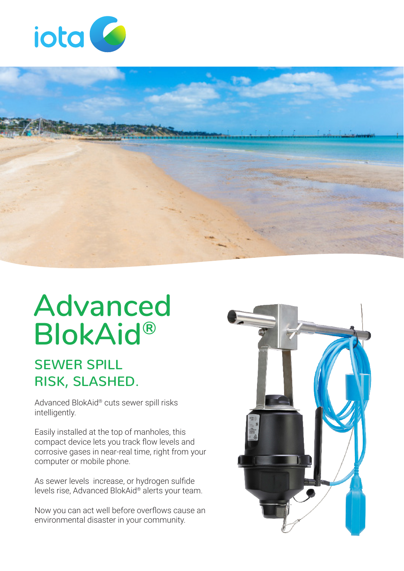



# **Advanced BlokAid®**

#### SEWER SPILL RISK, SLASHED.

Advanced BlokAid® cuts sewer spill risks intelligently.

Easily installed at the top of manholes, this compact device lets you track flow levels and corrosive gases in near-real time, right from your computer or mobile phone.

As sewer levels increase, or hydrogen sulfide levels rise, Advanced BlokAid® alerts your team.

Now you can act well before overflows cause an environmental disaster in your community.

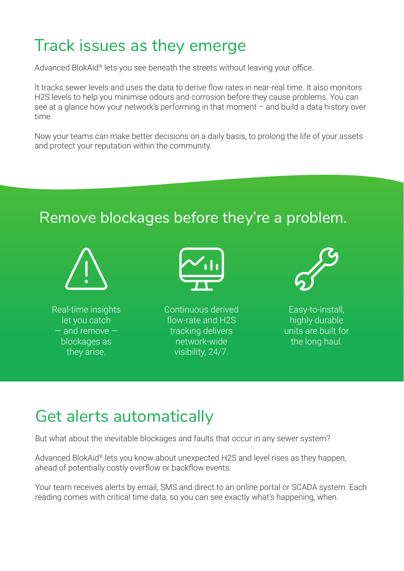# Track issues as they emerge

Advanced BlokAid® lets you see beneath the streets without leaving your office.

It tracks sewer levels and uses the data to derive flow rates in near-real time. It also monitors H2S levels to help you minimise odours and corrosion before they cause problems. You can see at a glance how your network's performing in that moment – and build a data history over time.

Now your teams can make better decisions on a daily basis, to prolong the life of your assets and protect your reputation within the community.

#### Remove blockages before they're a problem.



Real-time insights let you catch — and remove blockages as they arise.



Continuous derived flow-rate and H2S tracking delivers network-wide visibility, 24/7.



Easy-to-install, highly durable units are built for the long haul.

# Get alerts automatically

But what about the inevitable blockages and faults that occur in any sewer system?

Advanced BlokAid® lets you know about unexpected H2S and level rises as they happen, ahead of potentially costly overflow or backflow events.

Your team receives alerts by email, SMS and direct to an online portal or SCADA system. Each reading comes with critical time data, so you can see exactly what's happening, when.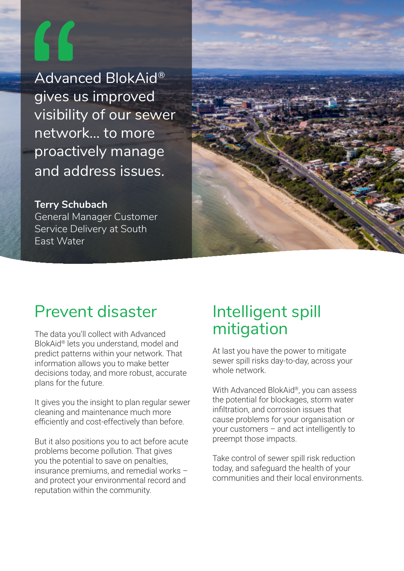Advanced BlokAid® gives us improved visibility of our sewer network… to more proactively manage and address issues.

**Terry Schubach** General Manager Customer Service Delivery at South East Water



## Prevent disaster

The data you'll collect with Advanced BlokAid® lets you understand, model and predict patterns within your network. That information allows you to make better decisions today, and more robust, accurate plans for the future.

It gives you the insight to plan regular sewer cleaning and maintenance much more efficiently and cost-effectively than before.

But it also positions you to act before acute problems become pollution. That gives you the potential to save on penalties, insurance premiums, and remedial works – and protect your environmental record and reputation within the community.

### Intelligent spill mitigation

At last you have the power to mitigate sewer spill risks day-to-day, across your whole network.

With Advanced BlokAid®, you can assess the potential for blockages, storm water infiltration, and corrosion issues that cause problems for your organisation or your customers – and act intelligently to preempt those impacts.

Take control of sewer spill risk reduction today, and safeguard the health of your communities and their local environments.